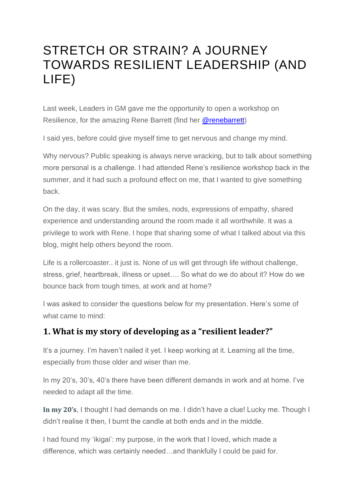# STRETCH OR STRAIN? A JOURNEY TOWARDS RESILIENT LEADERSHIP (AND LIFE)

Last week, Leaders in GM gave me the opportunity to open a workshop on Resilience, for the amazing Rene Barrett (find her [@renebarrett\)](https://twitter.com/renebarrett?ref_src=twsrc%5Egoogle%7Ctwcamp%5Eserp%7Ctwgr%5Eauthor)

I said yes, before could give myself time to get nervous and change my mind.

Why nervous? Public speaking is always nerve wracking, but to talk about something more personal is a challenge. I had attended Rene's resilience workshop back in the summer, and it had such a profound effect on me, that I wanted to give something back.

On the day, it was scary. But the smiles, nods, expressions of empathy, shared experience and understanding around the room made it all worthwhile. It was a privilege to work with Rene. I hope that sharing some of what I talked about via this blog, might help others beyond the room.

Life is a rollercoaster.. it just is. None of us will get through life without challenge, stress, grief, heartbreak, illness or upset…. So what do we do about it? How do we bounce back from tough times, at work and at home?

I was asked to consider the questions below for my presentation. Here's some of what came to mind:

# **1. What is my story of developing as a "resilient leader?"**

It's a journey. I'm haven't nailed it yet. I keep working at it. Learning all the time, especially from those older and wiser than me.

In my 20's, 30's, 40's there have been different demands in work and at home. I've needed to adapt all the time.

**In my 20's**, I thought I had demands on me. I didn't have a clue! Lucky me. Though I didn't realise it then, I burnt the candle at both ends and in the middle.

I had found my 'ikigai': my purpose, in the work that I loved, which made a difference, which was certainly needed…and thankfully I could be paid for.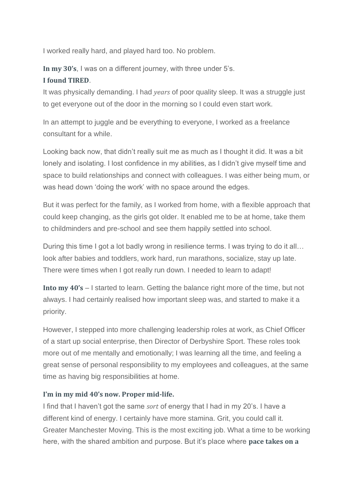I worked really hard, and played hard too. No problem.

**In my 30's**, I was on a different journey, with three under 5's. **I found TIRED**.

It was physically demanding. I had *years* of poor quality sleep. It was a struggle just to get everyone out of the door in the morning so I could even start work.

In an attempt to juggle and be everything to everyone, I worked as a freelance consultant for a while.

Looking back now, that didn't really suit me as much as I thought it did. It was a bit lonely and isolating. I lost confidence in my abilities, as I didn't give myself time and space to build relationships and connect with colleagues. I was either being mum, or was head down 'doing the work' with no space around the edges.

But it was perfect for the family, as I worked from home, with a flexible approach that could keep changing, as the girls got older. It enabled me to be at home, take them to childminders and pre-school and see them happily settled into school.

During this time I got a lot badly wrong in resilience terms. I was trying to do it all... look after babies and toddlers, work hard, run marathons, socialize, stay up late. There were times when I got really run down. I needed to learn to adapt!

**Into my 40's** – I started to learn. Getting the balance right more of the time, but not always. I had certainly realised how important sleep was, and started to make it a priority.

However, I stepped into more challenging leadership roles at work, as Chief Officer of a start up social enterprise, then Director of Derbyshire Sport. These roles took more out of me mentally and emotionally; I was learning all the time, and feeling a great sense of personal responsibility to my employees and colleagues, at the same time as having big responsibilities at home.

#### **I'm in my mid 40's now. Proper mid-life.**

I find that I haven't got the same *sort* of energy that I had in my 20's. I have a different kind of energy. I certainly have more stamina. Grit, you could call it. Greater Manchester Moving. This is the most exciting job. What a time to be working here, with the shared ambition and purpose. But it's place where **pace takes on a**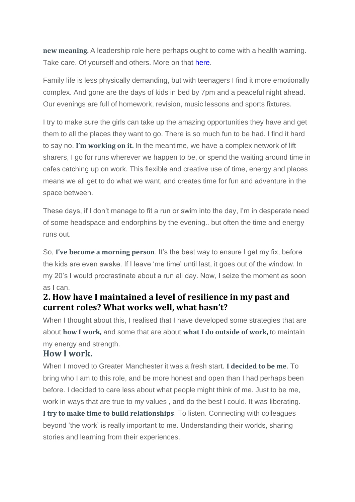**new meaning.** A leadership role here perhaps ought to come with a health warning. Take care. Of yourself and others. More on that [here.](https://hayleyleverblog.wordpress.com/2018/10/04/resilient-leaders-in-gm-expectations/)

Family life is less physically demanding, but with teenagers I find it more emotionally complex. And gone are the days of kids in bed by 7pm and a peaceful night ahead. Our evenings are full of homework, revision, music lessons and sports fixtures.

I try to make sure the girls can take up the amazing opportunities they have and get them to all the places they want to go. There is so much fun to be had. I find it hard to say no. **I'm working on it.** In the meantime, we have a complex network of lift sharers, I go for runs wherever we happen to be, or spend the waiting around time in cafes catching up on work. This flexible and creative use of time, energy and places means we all get to do what we want, and creates time for fun and adventure in the space between.

These days, if I don't manage to fit a run or swim into the day, I'm in desperate need of some headspace and endorphins by the evening.. but often the time and energy runs out.

So, **I've become a morning person**. It's the best way to ensure I get my fix, before the kids are even awake. If I leave 'me time' until last, it goes out of the window. In my 20's I would procrastinate about a run all day. Now, I seize the moment as soon as I can.

## **2. How have I maintained a level of resilience in my past and current roles? What works well, what hasn't?**

When I thought about this, I realised that I have developed some strategies that are about **how I work,** and some that are about **what I do outside of work,** to maintain my energy and strength.

## **How I work.**

When I moved to Greater Manchester it was a fresh start. **I decided to be me**. To bring who I am to this role, and be more honest and open than I had perhaps been before. I decided to care less about what people might think of me. Just to be me, work in ways that are true to my values , and do the best I could. It was liberating.

**I try to make time to build relationships**. To listen. Connecting with colleagues beyond 'the work' is really important to me. Understanding their worlds, sharing stories and learning from their experiences.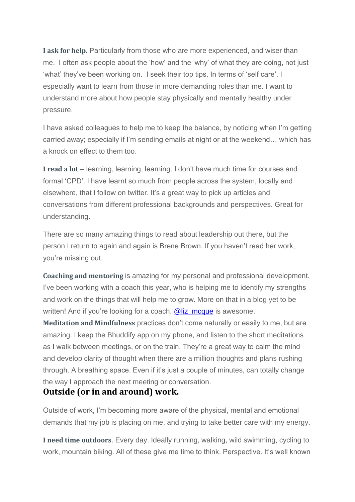**I ask for help.** Particularly from those who are more experienced, and wiser than me. I often ask people about the 'how' and the 'why' of what they are doing, not just 'what' they've been working on. I seek their top tips. In terms of 'self care', I especially want to learn from those in more demanding roles than me. I want to understand more about how people stay physically and mentally healthy under pressure.

I have asked colleagues to help me to keep the balance, by noticing when I'm getting carried away; especially if I'm sending emails at night or at the weekend… which has a knock on effect to them too.

**I read a lot** – learning, learning, learning. I don't have much time for courses and formal 'CPD'. I have learnt so much from people across the system, locally and elsewhere, that I follow on twitter. It's a great way to pick up articles and conversations from different professional backgrounds and perspectives. Great for understanding.

There are so many amazing things to read about leadership out there, but the person I return to again and again is Brene Brown. If you haven't read her work, you're missing out.

**Coaching and mentoring** is amazing for my personal and professional development. I've been working with a coach this year, who is helping me to identify my strengths and work on the things that will help me to grow. More on that in a blog yet to be written! And if you're looking for a coach, [@liz\\_mcque](https://twitter.com/liz_mcque?lang=en) is awesome.

**Meditation and Mindfulness** practices don't come naturally or easily to me, but are amazing. I keep the Bhuddify app on my phone, and listen to the short meditations as I walk between meetings, or on the train. They're a great way to calm the mind and develop clarity of thought when there are a million thoughts and plans rushing through. A breathing space. Even if it's just a couple of minutes, can totally change the way I approach the next meeting or conversation.

## **Outside (or in and around) work.**

Outside of work, I'm becoming more aware of the physical, mental and emotional demands that my job is placing on me, and trying to take better care with my energy.

**I need time outdoors**. Every day. Ideally running, walking, wild swimming, cycling to work, mountain biking. All of these give me time to think. Perspective. It's well known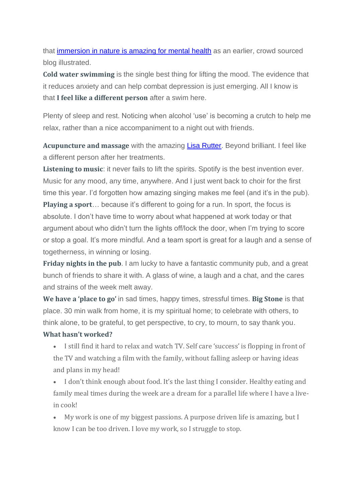that [immersion](https://hayleyleverblog.wordpress.com/2018/07/08/outside-i-can-breathe/) in nature is amazing for mental health as an earlier, crowd sourced blog illustrated.

**Cold water swimming** is the single best thing for lifting the mood. The evidence that it reduces anxiety and can help combat depression is just emerging. All I know is that **I feel like a different person** after a swim here.

Plenty of sleep and rest. Noticing when alcohol 'use' is becoming a crutch to help me relax, rather than a nice accompaniment to a night out with friends.

**Acupuncture and massage** with the amazing Lisa [Rutter.](https://www.facebook.com/lisaruttertherapies/) Beyond brilliant. I feel like a different person after her treatments.

**Listening to music**: it never fails to lift the spirits. Spotify is the best invention ever. Music for any mood, any time, anywhere. And I just went back to choir for the first time this year. I'd forgotten how amazing singing makes me feel (and it's in the pub).

**Playing a sport**… because it's different to going for a run. In sport, the focus is absolute. I don't have time to worry about what happened at work today or that argument about who didn't turn the lights off/lock the door, when I'm trying to score or stop a goal. It's more mindful. And a team sport is great for a laugh and a sense of togetherness, in winning or losing.

**Friday nights in the pub**. I am lucky to have a fantastic community pub, and a great bunch of friends to share it with. A glass of wine, a laugh and a chat, and the cares and strains of the week melt away.

**We have a 'place to go'** in sad times, happy times, stressful times. **Big Stone** is that place. 30 min walk from home, it is my spiritual home; to celebrate with others, to think alone, to be grateful, to get perspective, to cry, to mourn, to say thank you.

### **What hasn't worked?**

- I still find it hard to relax and watch TV. Self care 'success' is flopping in front of the TV and watching a film with the family, without falling asleep or having ideas and plans in my head!
- I don't think enough about food. It's the last thing I consider. Healthy eating and family meal times during the week are a dream for a parallel life where I have a livein cook!
- My work is one of my biggest passions. A purpose driven life is amazing, but I know I can be too driven. I love my work, so I struggle to stop.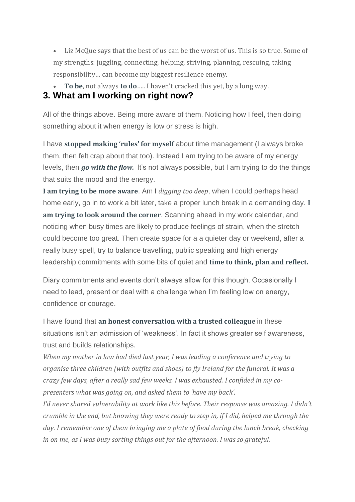- Liz McQue says that the best of us can be the worst of us. This is so true. Some of my strengths: juggling, connecting, helping, striving, planning, rescuing, taking responsibility… can become my biggest resilience enemy.
- **To be**, not always **to do**….. I haven't cracked this yet, by a long way.

## **3. What am I working on right now?**

All of the things above. Being more aware of them. Noticing how I feel, then doing something about it when energy is low or stress is high.

I have **stopped making 'rules' for myself** about time management (I always broke them, then felt crap about that too). Instead I am trying to be aware of my energy levels, then *go with the flow.* It's not always possible, but I am trying to do the things that suits the mood and the energy.

**I am trying to be more aware**. Am I *digging too deep*, when I could perhaps head home early, go in to work a bit later, take a proper lunch break in a demanding day. **I am trying to look around the corner**. Scanning ahead in my work calendar, and noticing when busy times are likely to produce feelings of strain, when the stretch could become too great. Then create space for a a quieter day or weekend, after a really busy spell, try to balance travelling, public speaking and high energy leadership commitments with some bits of quiet and **time to think, plan and reflect.**

Diary commitments and events don't always allow for this though. Occasionally I need to lead, present or deal with a challenge when I'm feeling low on energy, confidence or courage.

I have found that **an honest conversation with a trusted colleague** in these situations isn't an admission of 'weakness'. In fact it shows greater self awareness, trust and builds relationships.

*When my mother in law had died last year, I was leading a conference and trying to organise three children (with outfits and shoes) to fly Ireland for the funeral. It was a crazy few days, after a really sad few weeks. I was exhausted. I confided in my copresenters what was going on, and asked them to 'have my back'.*

*I'd never shared vulnerability at work like this before. Their response was amazing. I didn't crumble in the end, but knowing they were ready to step in, if I did, helped me through the day. I remember one of them bringing me a plate of food during the lunch break, checking in on me, as I was busy sorting things out for the afternoon. I was so grateful.*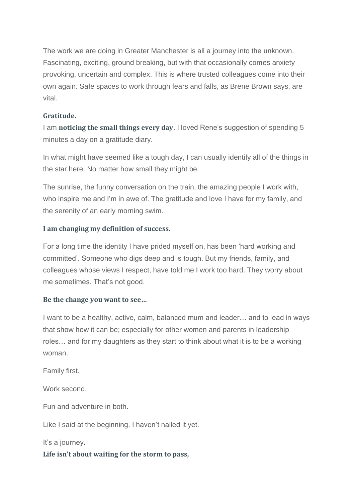The work we are doing in Greater Manchester is all a journey into the unknown. Fascinating, exciting, ground breaking, but with that occasionally comes anxiety provoking, uncertain and complex. This is where trusted colleagues come into their own again. Safe spaces to work through fears and falls, as Brene Brown says, are vital.

#### **Gratitude.**

I am **noticing the small things every day**. I loved Rene's suggestion of spending 5 minutes a day on a gratitude diary.

In what might have seemed like a tough day, I can usually identify all of the things in the star here. No matter how small they might be.

The sunrise, the funny conversation on the train, the amazing people I work with, who inspire me and I'm in awe of. The gratitude and love I have for my family, and the serenity of an early morning swim.

#### **I am changing my definition of success.**

For a long time the identity I have prided myself on, has been 'hard working and committed'. Someone who digs deep and is tough. But my friends, family, and colleagues whose views I respect, have told me I work too hard. They worry about me sometimes. That's not good.

#### **Be the change you want to see…**

I want to be a healthy, active, calm, balanced mum and leader… and to lead in ways that show how it can be; especially for other women and parents in leadership roles… and for my daughters as they start to think about what it is to be a working woman.

Family first.

Work second.

Fun and adventure in both.

Like I said at the beginning. I haven't nailed it yet.

It's a journey**.**

#### **Life isn't about waiting for the storm to pass,**